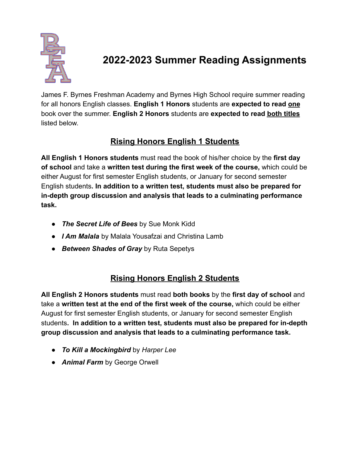

# **2022-2023 Summer Reading Assignments**

James F. Byrnes Freshman Academy and Byrnes High School require summer reading for all honors English classes. **English 1 Honors** students are **expected to read one** book over the summer. **English 2 Honors** students are **expected to read both titles** listed below.

## **Rising Honors English 1 Students**

**All English 1 Honors students** must read the book of his/her choice by the **first day of school** and take a **written test during the first week of the course,** which could be either August for first semester English students, or January for second semester English students**. In addition to a written test, students must also be prepared for in-depth group discussion and analysis that leads to a culminating performance task.**

- *● The Secret Life of Bees* by Sue Monk Kidd
- *I Am Malala* by Malala Yousafzai and Christina Lamb
- *Between Shades of Gray* by Ruta Sepetys

## **Rising Honors English 2 Students**

**All English 2 Honors students** must read **both books** by the **first day of school** and take a **written test at the end of the first week of the course,** which could be either August for first semester English students, or January for second semester English students**. In addition to a written test, students must also be prepared for in-depth group discussion and analysis that leads to a culminating performance task.**

- *To Kill a Mockingbird* by *Harper Lee*
- *● Animal Farm* by George Orwell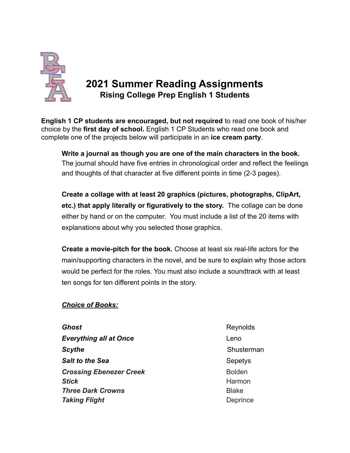

## **2021 Summer Reading Assignments Rising College Prep English 1 Students**

**English 1 CP students are encouraged, but not required** to read one book of his/her choice by the **first day of school.** English 1 CP Students who read one book and complete one of the projects below will participate in an **ice cream party**.

**Write a journal as though you are one of the main characters in the book.** The journal should have five entries in chronological order and reflect the feelings and thoughts of that character at five different points in time (2-3 pages).

**Create a collage with at least 20 graphics (pictures, photographs, ClipArt, etc.) that apply literally or figuratively to the story.** The collage can be done either by hand or on the computer. You must include a list of the 20 items with explanations about why you selected those graphics.

**Create a movie-pitch for the book.** Choose at least six real-life actors for the main/supporting characters in the novel, and be sure to explain why those actors would be perfect for the roles. You must also include a soundtrack with at least ten songs for ten different points in the story.

#### *Choice of Books:*

**Ghost** Reynolds Reynolds **Everything all at Once Leno Scythe** Shusterman **Salt to the Sea** Sepetys **Crossing Ebenezer Creek** Bolden **Stick** Harmon **Three Dark Crowns Blake Taking Flight** Deprince